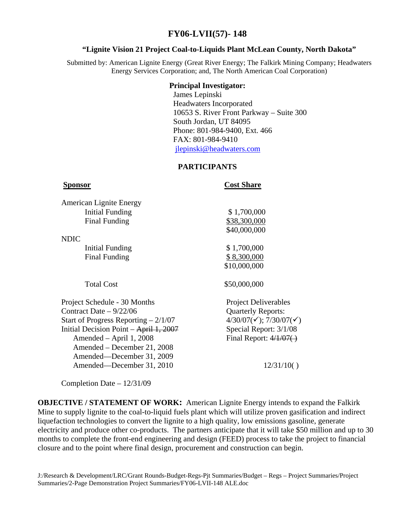# **FY06-LVII(57)- 148**

# **"Lignite Vision 21 Project Coal-to-Liquids Plant McLean County, North Dakota"**

Submitted by: American Lignite Energy (Great River Energy; The Falkirk Mining Company; Headwaters Energy Services Corporation; and, The North American Coal Corporation)

### **Principal Investigator:**

 James LepinskiHeadwaters Incorporated 10653 S. River Front Parkway – Suite 300 South Jordan, UT 84095 Phone: 801-984-9400, Ext. 466 FAX: 801-984-9410 jlepinski@headwaters.com

# **PARTICIPANTS**

**Sponsor** Cost Share

| <b>American Lignite Energy</b>                 |                                                 |
|------------------------------------------------|-------------------------------------------------|
| <b>Initial Funding</b>                         | \$1,700,000                                     |
| Final Funding                                  | \$38,300,000                                    |
|                                                | \$40,000,000                                    |
| <b>NDIC</b>                                    |                                                 |
| Initial Funding                                | \$1,700,000                                     |
| Final Funding                                  | \$8,300,000                                     |
|                                                | \$10,000,000                                    |
| <b>Total Cost</b>                              | \$50,000,000                                    |
| Project Schedule - 30 Months                   | <b>Project Deliverables</b>                     |
| Contract Date $-9/22/06$                       | <b>Quarterly Reports:</b>                       |
| Start of Progress Reporting $-2/1/07$          | $4/30/07(\checkmark)$ ; 7/30/07( $\checkmark$ ) |
| Initial Decision Point $-\text{April } 1,2007$ | Special Report: 3/1/08                          |
| Amended – April 1, 2008                        | Final Report: $4/1/07$ .                        |
| Amended – December 21, 2008                    |                                                 |
| Amended—December 31, 2009                      |                                                 |
| Amended—December 31, 2010                      | 12/31/10()                                      |

Completion Date – 12/31/09

**OBJECTIVE / STATEMENT OF WORK:** American Lignite Energy intends to expand the Falkirk Mine to supply lignite to the coal-to-liquid fuels plant which will utilize proven gasification and indirect liquefaction technologies to convert the lignite to a high quality, low emissions gasoline, generate electricity and produce other co-products. The partners anticipate that it will take \$50 million and up to 30 months to complete the front-end engineering and design (FEED) process to take the project to financial closure and to the point where final design, procurement and construction can begin.

J:/Research & Development/LRC/Grant Rounds-Budget-Regs-Pjt Summaries/Budget – Regs – Project Summaries/Project Summaries/2-Page Demonstration Project Summaries/FY06-LVII-148 ALE.doc